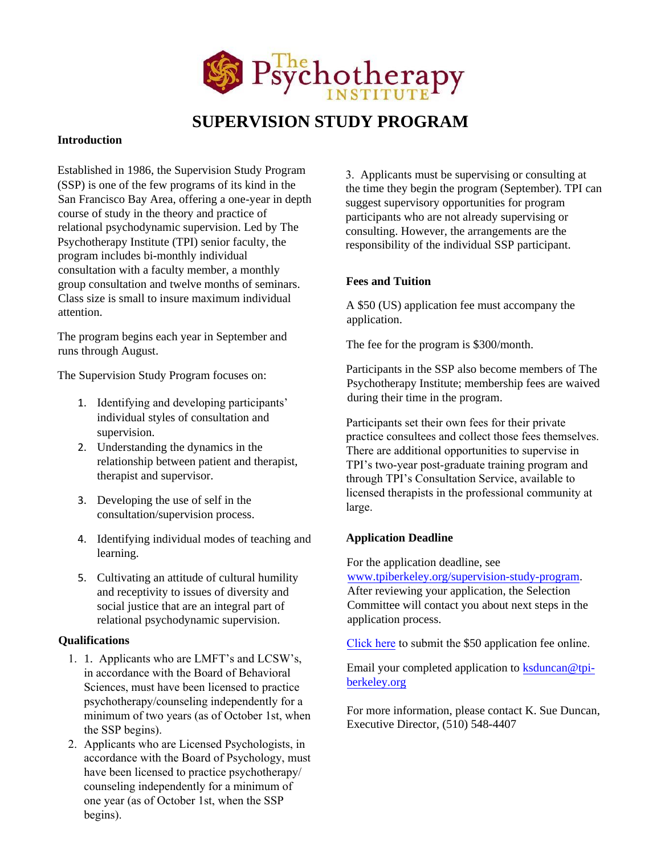

# **SUPERVISION STUDY PROGRAM**

#### **Introduction**

Established in 1986, the Supervision Study Program (SSP) is one of the few programs of its kind in the San Francisco Bay Area, offering a one-year in depth course of study in the theory and practice of relational psychodynamic supervision. Led by The Psychotherapy Institute (TPI) senior faculty, the program includes bi-monthly individual consultation with a faculty member, a monthly group consultation and twelve months of seminars. Class size is small to insure maximum individual attention.

The program begins each year in September and runs through August.

The Supervision Study Program focuses on:

- 1. Identifying and developing participants' individual styles of consultation and supervision.
- 2. Understanding the dynamics in the relationship between patient and therapist, therapist and supervisor.
- 3. Developing the use of self in the consultation/supervision process.
- 4. Identifying individual modes of teaching and learning.
- 5. Cultivating an attitude of cultural humility and receptivity to issues of diversity and social justice that are an integral part of relational psychodynamic supervision.

### **Qualifications**

- 1. 1. Applicants who are LMFT's and LCSW's, in accordance with the Board of Behavioral Sciences, must have been licensed to practice psychotherapy/counseling independently for a minimum of two years (as of October 1st, when the SSP begins).
- 2. Applicants who are Licensed Psychologists, in accordance with the Board of Psychology, must have been licensed to practice psychotherapy/ counseling independently for a minimum of one year (as of October 1st, when the SSP begins).

3. Applicants must be supervising or consulting at the time they begin the program (September). TPI can suggest supervisory opportunities for program participants who are not already supervising or consulting. However, the arrangements are the responsibility of the individual SSP participant.

#### **Fees and Tuition**

A \$50 (US) application fee must accompany the application.

The fee for the program is \$300/month.

Participants in the SSP also become members of The Psychotherapy Institute; membership fees are waived during their time in the program.

Participants set their own fees for their private practice consultees and collect those fees themselves. There are additional opportunities to supervise in TPI's two-year post-graduate training program and through TPI's Consultation Service, available to licensed therapists in the professional community at large.

### **Application Deadline**

For the application deadline, see [www.tpiberkeley.org/supervision-study-program.](http://www.tpi-berkeley.org/supervision-study-program) After reviewing your application, the Selection Committee will contact you about next steps in the application process.

[Click](https://www.tpi-berkeley.org/ssp-application-fee) here to submit the \$50 application fee online.

Email your completed application to ksduncan@tpiberkeley.org

For more information, please contact K. Sue Duncan, Executive Director, (510) 548-4407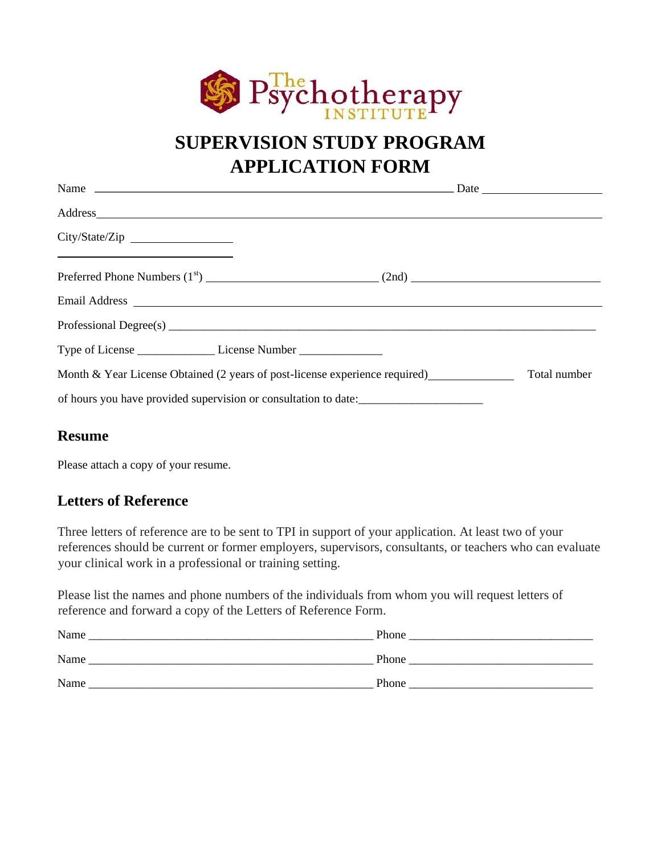

# **SUPERVISION STUDY PROGRAM APPLICATION FORM**

| City/State/Zip<br><u> 1989 - Johann Barnett, fransk politiker (d. 1989)</u>      |                                                                 |              |
|----------------------------------------------------------------------------------|-----------------------------------------------------------------|--------------|
|                                                                                  |                                                                 |              |
|                                                                                  |                                                                 |              |
|                                                                                  |                                                                 |              |
| Type of License ______________________License Number ___________________________ |                                                                 |              |
| Month & Year License Obtained (2 years of post-license experience required)      |                                                                 | Total number |
|                                                                                  | of hours you have provided supervision or consultation to date: |              |

## **Resume**

Please attach a copy of your resume.

## **Letters of Reference**

Three letters of reference are to be sent to TPI in support of your application. At least two of your references should be current or former employers, supervisors, consultants, or teachers who can evaluate your clinical work in a professional or training setting.

Please list the names and phone numbers of the individuals from whom you will request letters of reference and forward a copy of the Letters of Reference Form.

| Name | Phone |
|------|-------|
| Name | Phone |
| Name | Phone |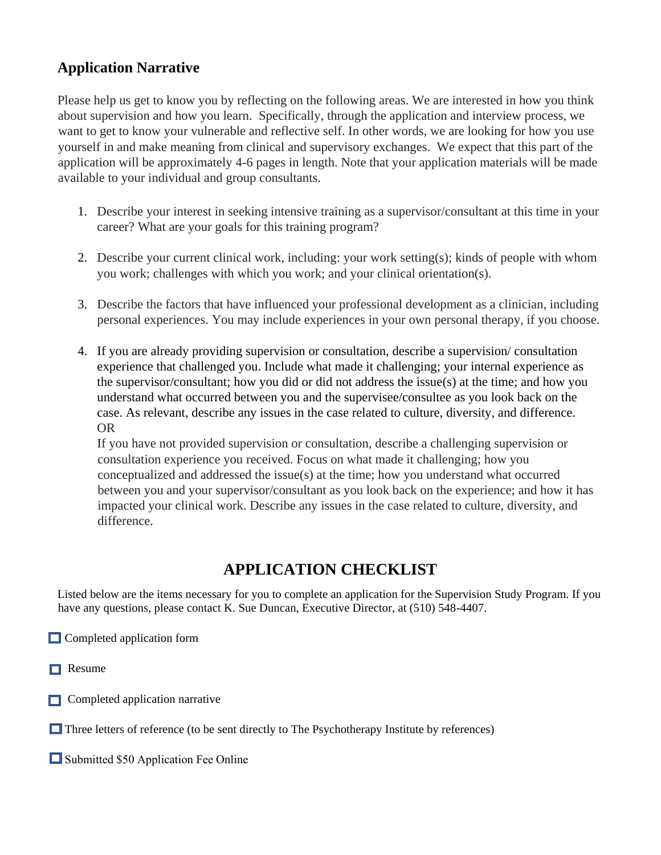## **Application Narrative**

Please help us get to know you by reflecting on the following areas. We are interested in how you think about supervision and how you learn. Specifically, through the application and interview process, we want to get to know your vulnerable and reflective self. In other words, we are looking for how you use yourself in and make meaning from clinical and supervisory exchanges. We expect that this part of the application will be approximately 4-6 pages in length. Note that your application materials will be made available to your individual and group consultants.

- 1. Describe your interest in seeking intensive training as a supervisor/consultant at this time in your career? What are your goals for this training program?
- 2. Describe your current clinical work, including: your work setting(s); kinds of people with whom you work; challenges with which you work; and your clinical orientation(s).
- 3. Describe the factors that have influenced your professional development as a clinician, including personal experiences. You may include experiences in your own personal therapy, if you choose.
- 4. If you are already providing supervision or consultation, describe a supervision/ consultation experience that challenged you. Include what made it challenging; your internal experience as the supervisor/consultant; how you did or did not address the issue(s) at the time; and how you understand what occurred between you and the supervisee/consultee as you look back on the case. As relevant, describe any issues in the case related to culture, diversity, and difference. OR

If you have not provided supervision or consultation, describe a challenging supervision or consultation experience you received. Focus on what made it challenging; how you conceptualized and addressed the issue(s) at the time; how you understand what occurred between you and your supervisor/consultant as you look back on the experience; and how it has impacted your clinical work. Describe any issues in the case related to culture, diversity, and difference.

## **APPLICATION CHECKLIST**

Listed below are the items necessary for you to complete an application for the Supervision Study Program. If you have any questions, please contact K. Sue Duncan, Executive Director, at (510) 548-4407.

- **Completed application form**
- $\Box$  Resume
- $\Box$  Completed application narrative

 $\Box$  Three letters of reference (to be sent directly to The Psychotherapy Institute by references)

Submitted \$50 Application Fee Online